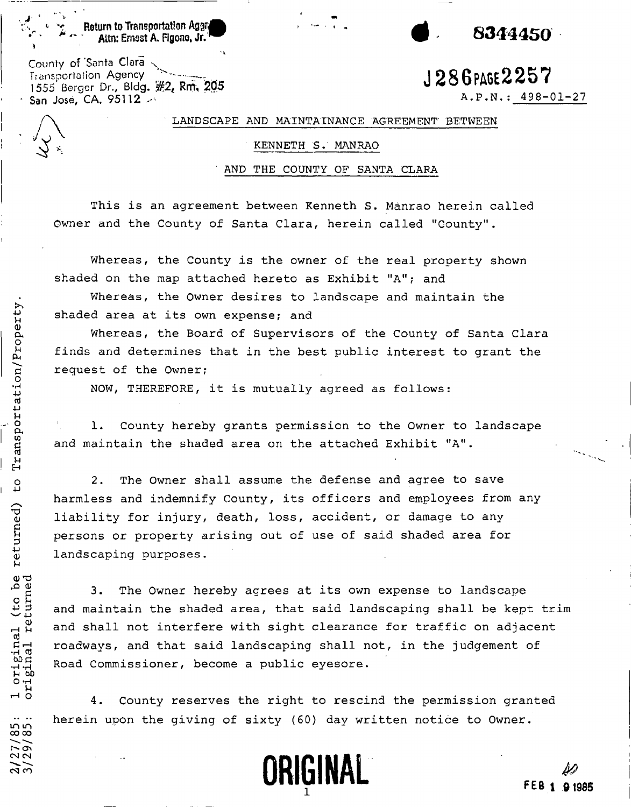$\blacksquare$  . Transportation Aggriphic ,  $\blacksquare$  ,  $\blacksquare$  ,  $\blacksquare$  ,  $\blacksquare$  ,  $\blacksquare$  ,  $\blacksquare$  ,  $\blacksquare$  ,  $\blacksquare$  ,  $\blacksquare$  ,  $\blacksquare$  ,  $\blacksquare$  ,  $\blacksquare$  ,  $\blacksquare$  ,  $\blacksquare$  ,  $\blacksquare$  ,  $\blacksquare$  ,  $\blacksquare$  ,  $\blacksquare$  ,  $\blacksquare$  ,  $\blacksquare$  ,  $\blacksquare$ Attn: Ernest A. Figono, Jr.  $^{\prime\prime}$ 

County of 'Santa **Clara<sup>N</sup>** Transportation Agency  $\frac{1}{286}$  **J**  $286$   $\frac{1}{28}$   $\frac{1}{28}$   $\frac{1}{28}$   $\frac{1}{28}$   $\frac{1}{28}$   $\frac{1}{28}$   $\frac{1}{28}$   $\frac{1}{28}$   $\frac{1}{28}$   $\frac{1}{28}$   $\frac{1}{28}$   $\frac{1}{28}$   $\frac{1}{28}$   $\frac{1}{28}$   $\frac{1}{28}$   $\frac{1}{28}$  1555 Berger Dr., BIdg. **Rm, 205 San José, CA. 95112**  $\rightarrow$ 

 $A.P.N.: 498-01-27$ 

## LANDSCAPE AND MAINTAINANCE AGREEMENT BETWEEN

#### KENNETH S. MANRAO

## ' AND THE COUNTY OF SANTA CLARA

This is an agreement between Kenneth S. Manrao herein called Owner and the County of Santa Clara, herein called "County".

Whereas, the County is the owner of the real property shown shaded on the map attached hereto as Exhibit "A"; and

Whereas, the Owner desires to landscape and maintain the shaded area at its own expense; and

Whereas, the Board of Supervisors of the County of Santa Clara request of the Owner; finds and determines that in the best public interest to grant the

NOW, THEREFORE, it is mutually agreed as follows:

1. County hereby grants permission to the Owner to landscape and maintain the shaded area on the attached Exhibit "A".

2. The Owner shall assume the defense and agree to save harmless and indemnify County, its officers and employees from any liability for injury, death, loss, accident, or damage to any persons or property arising out of use of said shaded area for landscaping purposes.

3. The Owner hereby agrees at its own expense to landscape and maintain the shaded area, that said landscaping shall be kept trim and shall not interfere with sight clearance for traffic on adjacent roadways, and that said landscaping shall not, in the judgement of Road Commissioner, become a public eyesore.

4. County reserves the right to rescind the permission granted herein upon the giving of sixty (60) day written notice to Owner.



**3** 

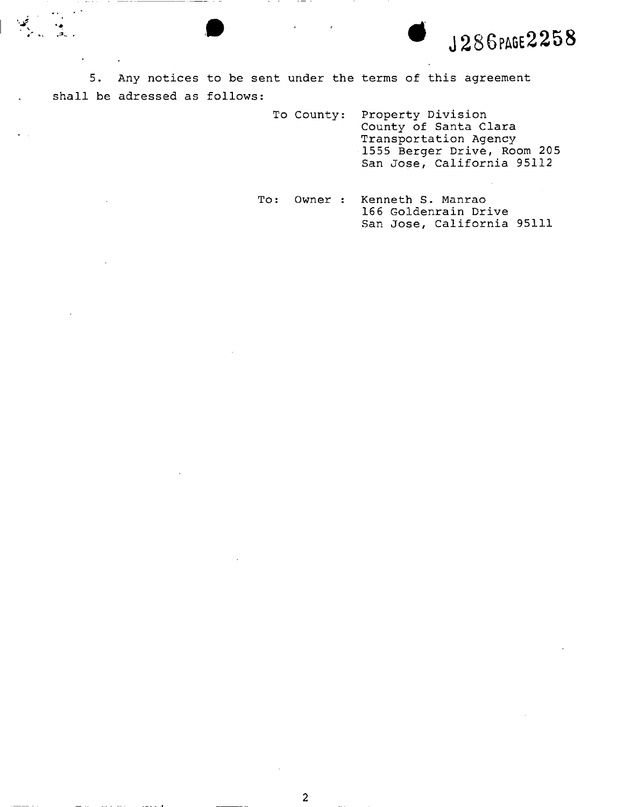\* J **286PAGE225 8** 

5. Any notices to be sent under the terms of this agreement shall be adressed as follows:

- To County: Property Division County of Santa Clara Transportation Agency 1555 Berger Drive, Room 205 San Jose, California 95112
- To: Owner : Kenneth S. Manrao 166 Goldenrain Drive San Jose, California 95111

2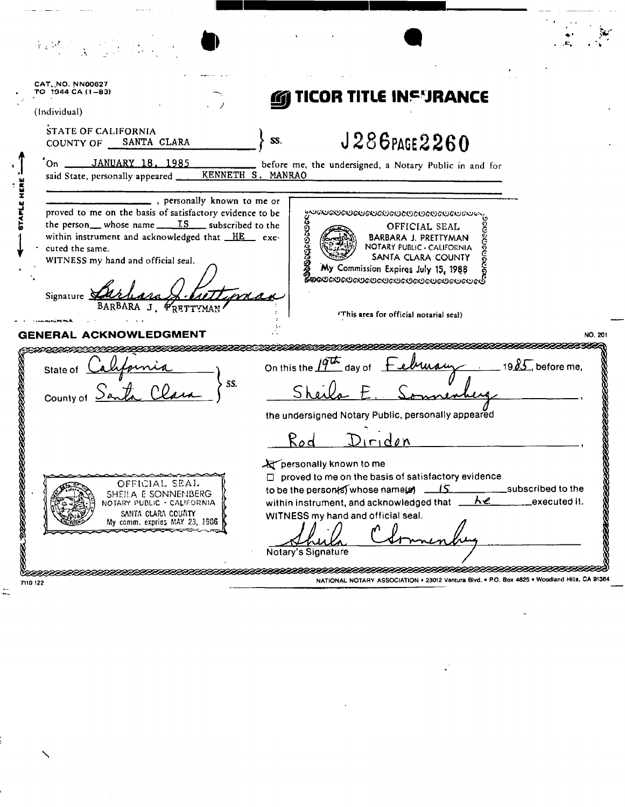| CAT. NO. NN00627<br>TO 1944 CA (1-83)<br>(Individual)                                                                                                                                                                                                                                          | TICOR TITLE INSYRANCE                                                                                                                                                                                                                               |                                   |
|------------------------------------------------------------------------------------------------------------------------------------------------------------------------------------------------------------------------------------------------------------------------------------------------|-----------------------------------------------------------------------------------------------------------------------------------------------------------------------------------------------------------------------------------------------------|-----------------------------------|
| STATE OF CALIFORNIA<br>SANTA CLARA<br>COUNTY OF                                                                                                                                                                                                                                                | $J286$ PAGE $2260$<br>SS.                                                                                                                                                                                                                           |                                   |
| JANUARY 18, 1985<br>On $\qquad$<br>said State, personally appeared ____                                                                                                                                                                                                                        | before me, the undersigned, a Notary Public in and for<br>KENNETH S. MANRAO                                                                                                                                                                         |                                   |
| personally known to me or<br>proved to me on the basis of satisfactory evidence to be<br>the person whose name $\frac{TS}{\sqrt{SS}}$ subscribed to the<br>within instrument and acknowledged that HE exe-<br>cuted the same.<br>WITNESS my hand and official seal.<br>Signature $\mathcal{Q}$ | <b>EXAMPLE AND ACCORD CONSUMING SALE OF SALE OF FICIAL SEAL CONSUMERS OF SALE OF SALE OF SALE OF SALE OF SANTA CLARA COUNTY CONSUMERS AND CONSUMER SANTA CLARA COUNTY CONSUMERS AND CONSUMERS AND CONSUMERS AND CONSUMERS AND CO</b>                |                                   |
| BARBARA J. PRETTYMAN<br>GENERAL ACKNOWLEDGMENT                                                                                                                                                                                                                                                 | (This area for official notarial seal)                                                                                                                                                                                                              | NO. 201                           |
| State of $\Delta$<br>SS.<br>County of                                                                                                                                                                                                                                                          | On this the $19^{\text{th}}$ day of February<br>the undersigned Notary Public, personally appeared                                                                                                                                                  | 19 $85$ , before me,              |
|                                                                                                                                                                                                                                                                                                | Roc<br>$i$ riden                                                                                                                                                                                                                                    |                                   |
| OFFICIAL SEAL<br>SHEILA E SONNENBERG<br>NOTARY PUBLIC - CALIFORNIA<br>SANTA CLARA COUNTY<br>My comm. expries MAY 23, 1986                                                                                                                                                                      | personally known to me<br>$\Box$ proved to me on the basis of satisfactory evidence<br>to be the person(s) whose name(s) _____<br>within instrument, and acknowledged that<br><u>ሉe</u><br>WITNESS my hand and official seal.<br>Notary's Signature | subscribed to the<br>executed it. |
| 7110 122                                                                                                                                                                                                                                                                                       | NATIONAL NOTARY ASSOCIATION . 23012 Ventura Blvd. . P.O. Box 4625 . Woodland Hills, CA 91364                                                                                                                                                        |                                   |

 $\overline{\phantom{a}}$ 

 $\mathcal{L}^{\mathcal{L}}$ 

 $\hat{\mathbf{v}}$ 

 $\tilde{=}$ 

 $\checkmark$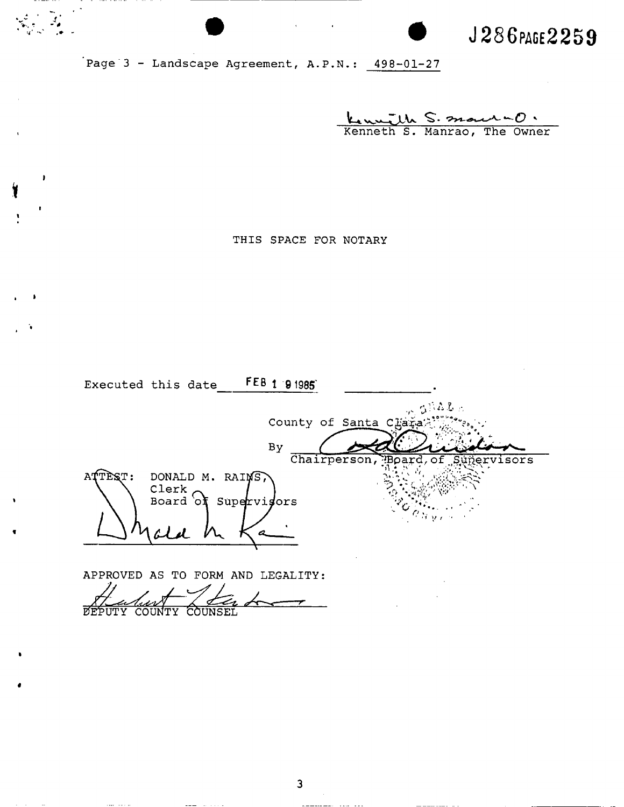**J 286** PAGE **225 9** 

Page  $3$  - Landscape Agreement, A.P.N.:  $498-01-27$ 

 $\label{eq:2} \frac{\partial}{\partial x^2} = \frac{\partial}{\partial x^2}$ 

 $\cdot$ 

Kenneth S. mour - O.

THIS SPACE FOR NOTARY

|         | Executed this date  | $FEB$ 1 $91985$       |                           |
|---------|---------------------|-----------------------|---------------------------|
|         |                     |                       | $\sim 5022$               |
|         |                     | County of Santa Chara |                           |
|         |                     | By                    |                           |
|         |                     | Chairperson,          | Board, of?<br>Supervisors |
| ATTEST: | DONALD M. RAINS,    |                       |                           |
|         | Clerk<br>Board of   | Supervisors           |                           |
|         |                     |                       | $\sigma_{\rm Hyr}$        |
|         |                     |                       |                           |
|         |                     |                       |                           |
|         | APPROVED AS TO FORM | AND<br>LEGALITY:      |                           |

**COUNTY** COUN  $\overline{a}$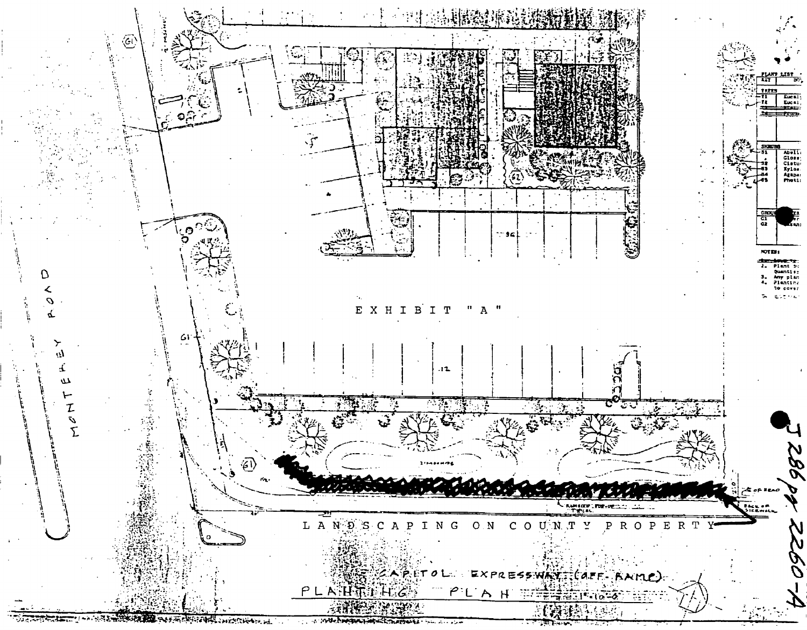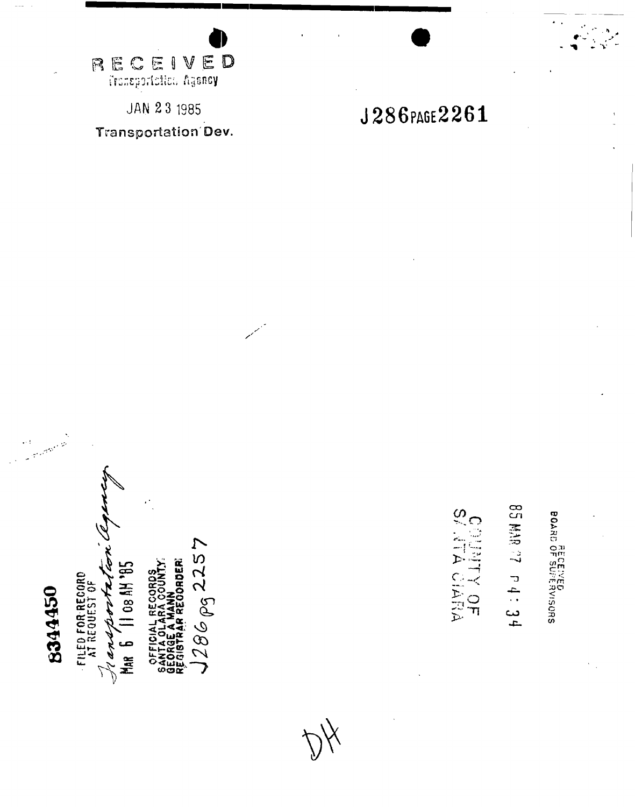**RECEIVED**<br>Tronsportation Agency

**JAN 23 1985** Transportation Dev.

J286PAGE2261

**2. 8KM 58**  $P4:34$  $\dot{\leq}$  $rac{1}{4}$ 

ഗ

 $\mathbf{r}$ 

CHARLS

BOARD OF SUPERVISORS

**08 AH 95** FILED FOR RECORD<br>AT REQUEST OF J' an

Mar

8344450

4ผ<br>60

 $286\,\rho_{\rm S}$  2257 ORDER  $\bm{\lambda}$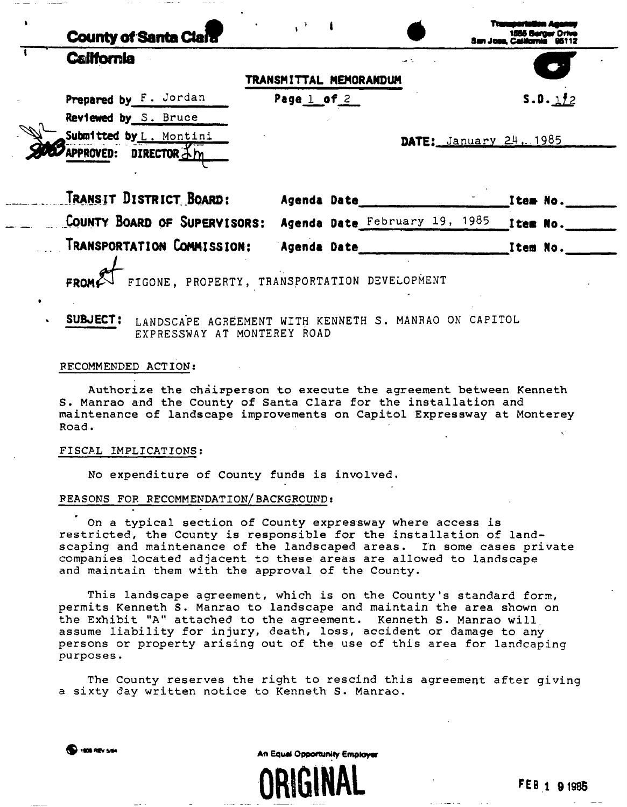| <b>County of Santa Clara</b>                                      |                               |                                  |          |
|-------------------------------------------------------------------|-------------------------------|----------------------------------|----------|
| <b>California</b>                                                 |                               |                                  |          |
|                                                                   | TRANSMITTAL MEMORANDUM        |                                  |          |
| Prepared by F. Jordan                                             | Page $1$ of $2$               |                                  | 5.0.112  |
| Reviewed by S. Bruce                                              |                               |                                  |          |
| Submitted by L. Montini                                           |                               | <b>DATE:</b> January $24$ , 1985 |          |
| APPROVED: DIRECTOR 3m                                             |                               |                                  |          |
| Transit District Board:                                           | Agenda Date                   |                                  | Item No. |
| COUNTY BOARD OF SUPERVISORS:                                      | Agenda Date February 19, 1985 | Item No.                         |          |
| TRANSPORTATION COMMISSION:                                        | Agenda Date                   | Item No.                         |          |
| FIGONE, PROPERTY, TRANSPORTATION DEVELOPMENT                      |                               |                                  |          |
| SUBJECT:<br>LANDSCAPE AGREEMENT WITH KENNETH S. MANRAO ON CAPITOL |                               |                                  |          |

RECOMMENDED ACTION;

Authorize the chairperson to execute the agreement between Kenneth S. Manrao and the County of Santa Clara for the installation and maintenance of landscape improvements on Capitol Expressway at Monterey Road.

# FISCAL IMPLICATIONS:

No expenditure of County funds is involved.

EXPRESSWAY AT MONTEREY ROAD

### REASONS FOR RECOMMENDATION/BACKGROUND;

On a typical section of County expressway where access is restricted, the County is responsible for the installation of landscaping and maintenance of the landscaped areas. In some cases private companies located adjacent to these areas are allowed to landscape and maintain them with the approval of the County.

This landscape agreement, which is on the County's standard form, permits Kenneth S. Manrao to landscape and maintain the area shown on the Exhibit "A" attached to the agreement. Kenneth S. Manrao will, assume liability for injury, death, loss, accident or damage to any persons or property arising out of the use of this area for landcaping purposes.

The County reserves the right to rescind this agreement after giving a sixty day written notice to Kenneth S. Manrao.

**S** mos nev such a more control of the M An Equal Opportunity Employer